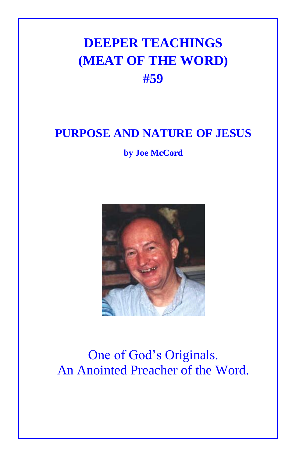## **DEEPER TEACHINGS (MEAT OF THE WORD) #59**

## **PURPOSE AND NATURE OF JESUS**

**by Joe McCord**



## One of God's Originals. An Anointed Preacher of the Word.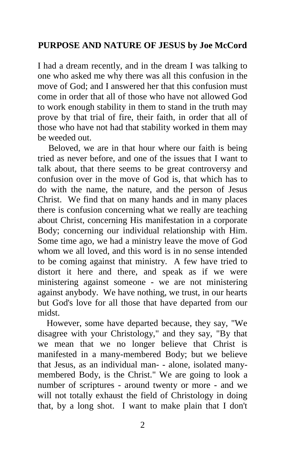## **PURPOSE AND NATURE OF JESUS by Joe McCord**

I had a dream recently, and in the dream I was talking to one who asked me why there was all this confusion in the move of God; and I answered her that this confusion must come in order that all of those who have not allowed God to work enough stability in them to stand in the truth may prove by that trial of fire, their faith, in order that all of those who have not had that stability worked in them may be weeded out.

Beloved, we are in that hour where our faith is being tried as never before, and one of the issues that I want to talk about, that there seems to be great controversy and confusion over in the move of God is, that which has to do with the name, the nature, and the person of Jesus Christ. We find that on many hands and in many places there is confusion concerning what we really are teaching about Christ, concerning His manifestation in a corporate Body; concerning our individual relationship with Him. Some time ago, we had a ministry leave the move of God whom we all loved, and this word is in no sense intended to be coming against that ministry. A few have tried to distort it here and there, and speak as if we were ministering against someone - we are not ministering against anybody. We have nothing, we trust, in our hearts but God's love for all those that have departed from our midst.

 However, some have departed because, they say, "We disagree with your Christology," and they say, "By that we mean that we no longer believe that Christ is manifested in a many-membered Body; but we believe that Jesus, as an individual man- - alone, isolated manymembered Body, is the Christ." We are going to look a number of scriptures - around twenty or more - and we will not totally exhaust the field of Christology in doing that, by a long shot. I want to make plain that I don't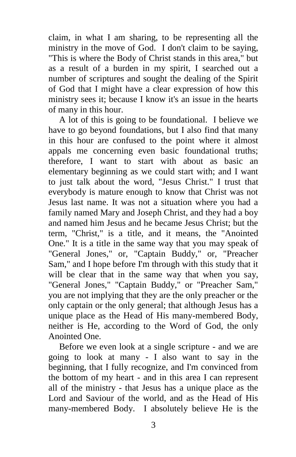claim, in what I am sharing, to be representing all the ministry in the move of God. I don't claim to be saying, "This is where the Body of Christ stands in this area," but as a result of a burden in my spirit, I searched out a number of scriptures and sought the dealing of the Spirit of God that I might have a clear expression of how this ministry sees it; because I know it's an issue in the hearts of many in this hour.

A lot of this is going to be foundational. I believe we have to go beyond foundations, but I also find that many in this hour are confused to the point where it almost appals me concerning even basic foundational truths; therefore, I want to start with about as basic an elementary beginning as we could start with; and I want to just talk about the word, "Jesus Christ." I trust that everybody is mature enough to know that Christ was not Jesus last name. It was not a situation where you had a family named Mary and Joseph Christ, and they had a boy and named him Jesus and he became Jesus Christ; but the term, "Christ," is a title, and it means, the "Anointed One." It is a title in the same way that you may speak of "General Jones," or, "Captain Buddy," or, "Preacher Sam," and I hope before I'm through with this study that it will be clear that in the same way that when you say, "General Jones," "Captain Buddy," or "Preacher Sam," you are not implying that they are the only preacher or the only captain or the only general; that although Jesus has a unique place as the Head of His many-membered Body, neither is He, according to the Word of God, the only Anointed One.

Before we even look at a single scripture - and we are going to look at many - I also want to say in the beginning, that I fully recognize, and I'm convinced from the bottom of my heart - and in this area I can represent all of the ministry - that Jesus has a unique place as the Lord and Saviour of the world, and as the Head of His many-membered Body. I absolutely believe He is the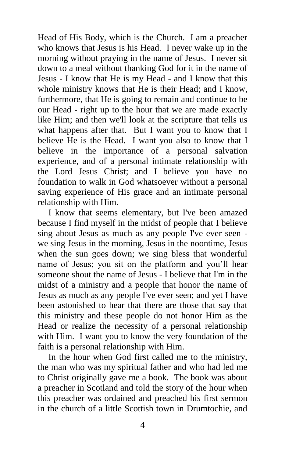Head of His Body, which is the Church. I am a preacher who knows that Jesus is his Head. I never wake up in the morning without praying in the name of Jesus. I never sit down to a meal without thanking God for it in the name of Jesus - I know that He is my Head - and I know that this whole ministry knows that He is their Head; and I know, furthermore, that He is going to remain and continue to be our Head - right up to the hour that we are made exactly like Him; and then we'll look at the scripture that tells us what happens after that. But I want you to know that I believe He is the Head. I want you also to know that I believe in the importance of a personal salvation experience, and of a personal intimate relationship with the Lord Jesus Christ; and I believe you have no foundation to walk in God whatsoever without a personal saving experience of His grace and an intimate personal relationship with Him.

I know that seems elementary, but I've been amazed because I find myself in the midst of people that I believe sing about Jesus as much as any people I've ever seen we sing Jesus in the morning, Jesus in the noontime, Jesus when the sun goes down; we sing bless that wonderful name of Jesus; you sit on the platform and you'll hear someone shout the name of Jesus - I believe that I'm in the midst of a ministry and a people that honor the name of Jesus as much as any people I've ever seen; and yet I have been astonished to hear that there are those that say that this ministry and these people do not honor Him as the Head or realize the necessity of a personal relationship with Him. I want you to know the very foundation of the faith is a personal relationship with Him.

In the hour when God first called me to the ministry, the man who was my spiritual father and who had led me to Christ originally gave me a book. The book was about a preacher in Scotland and told the story of the hour when this preacher was ordained and preached his first sermon in the church of a little Scottish town in Drumtochie, and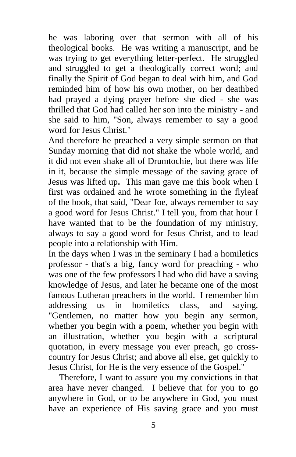he was laboring over that sermon with all of his theological books. He was writing a manuscript, and he was trying to get everything letter-perfect. He struggled and struggled to get a theologically correct word; and finally the Spirit of God began to deal with him, and God reminded him of how his own mother, on her deathbed had prayed a dying prayer before she died - she was thrilled that God had called her son into the ministry - and she said to him, "Son, always remember to say a good word for Jesus Christ."

And therefore he preached a very simple sermon on that Sunday morning that did not shake the whole world, and it did not even shake all of Drumtochie, but there was life in it, because the simple message of the saving grace of Jesus was lifted up**.** This man gave me this book when I first was ordained and he wrote something in the flyleaf of the book, that said, "Dear Joe, always remember to say a good word for Jesus Christ." I tell you, from that hour I have wanted that to be the foundation of my ministry, always to say a good word for Jesus Christ, and to lead people into a relationship with Him.

In the days when I was in the seminary I had a homiletics professor - that's a big, fancy word for preaching - who was one of the few professors I had who did have a saving knowledge of Jesus, and later he became one of the most famous Lutheran preachers in the world. I remember him addressing us in homiletics class, and saying, "Gentlemen, no matter how you begin any sermon, whether you begin with a poem, whether you begin with an illustration, whether you begin with a scriptural quotation, in every message you ever preach, go crosscountry for Jesus Christ; and above all else, get quickly to Jesus Christ, for He is the very essence of the Gospel."

Therefore, I want to assure you my convictions in that area have never changed. I believe that for you to go anywhere in God, or to be anywhere in God, you must have an experience of His saving grace and you must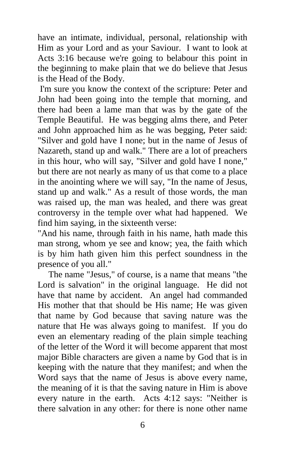have an intimate, individual, personal, relationship with Him as your Lord and as your Saviour. I want to look at Acts 3:16 because we're going to belabour this point in the beginning to make plain that we do believe that Jesus is the Head of the Body.

I'm sure you know the context of the scripture: Peter and John had been going into the temple that morning, and there had been a lame man that was by the gate of the Temple Beautiful. He was begging alms there, and Peter and John approached him as he was begging, Peter said: "Silver and gold have I none; but in the name of Jesus of Nazareth, stand up and walk." There are a lot of preachers in this hour, who will say, "Silver and gold have I none," but there are not nearly as many of us that come to a place in the anointing where we will say, "In the name of Jesus, stand up and walk." As a result of those words, the man was raised up, the man was healed, and there was great controversy in the temple over what had happened. We find him saying, in the sixteenth verse:

"And his name, through faith in his name, hath made this man strong, whom ye see and know; yea, the faith which is by him hath given him this perfect soundness in the presence of you all."

The name "Jesus," of course, is a name that means "the Lord is salvation" in the original language. He did not have that name by accident. An angel had commanded His mother that that should be His name; He was given that name by God because that saving nature was the nature that He was always going to manifest. If you do even an elementary reading of the plain simple teaching of the letter of the Word it will become apparent that most major Bible characters are given a name by God that is in keeping with the nature that they manifest; and when the Word says that the name of Jesus is above every name, the meaning of it is that the saving nature in Him is above every nature in the earth. Acts 4:12 says: "Neither is there salvation in any other: for there is none other name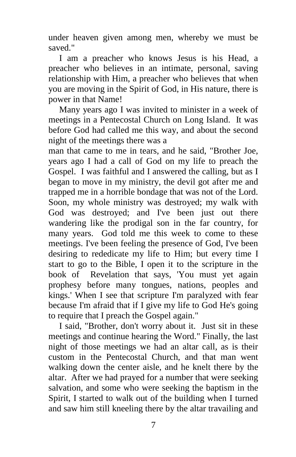under heaven given among men, whereby we must be saved."

I am a preacher who knows Jesus is his Head, a preacher who believes in an intimate, personal, saving relationship with Him, a preacher who believes that when you are moving in the Spirit of God, in His nature, there is power in that Name!

Many years ago I was invited to minister in a week of meetings in a Pentecostal Church on Long Island. It was before God had called me this way, and about the second night of the meetings there was a

man that came to me in tears, and he said, "Brother Joe, years ago I had a call of God on my life to preach the Gospel. I was faithful and I answered the calling, but as I began to move in my ministry, the devil got after me and trapped me in a horrible bondage that was not of the Lord. Soon, my whole ministry was destroyed; my walk with God was destroyed; and I've been just out there wandering like the prodigal son in the far country, for many years. God told me this week to come to these meetings. I've been feeling the presence of God, I've been desiring to rededicate my life to Him; but every time I start to go to the Bible, I open it to the scripture in the book of Revelation that says, 'You must yet again prophesy before many tongues, nations, peoples and kings.' When I see that scripture I'm paralyzed with fear because I'm afraid that if I give my life to God He's going to require that I preach the Gospel again."

I said, "Brother, don't worry about it. Just sit in these meetings and continue hearing the Word." Finally, the last night of those meetings we had an altar call, as is their custom in the Pentecostal Church, and that man went walking down the center aisle, and he knelt there by the altar. After we had prayed for a number that were seeking salvation, and some who were seeking the baptism in the Spirit, I started to walk out of the building when I turned and saw him still kneeling there by the altar travailing and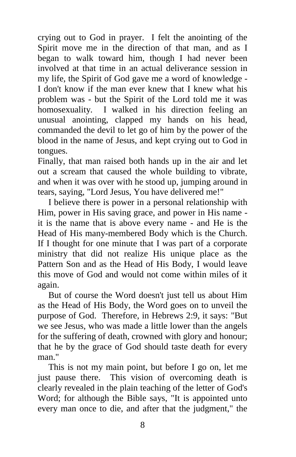crying out to God in prayer. I felt the anointing of the Spirit move me in the direction of that man, and as I began to walk toward him, though I had never been involved at that time in an actual deliverance session in my life, the Spirit of God gave me a word of knowledge - I don't know if the man ever knew that I knew what his problem was - but the Spirit of the Lord told me it was homosexuality. I walked in his direction feeling an unusual anointing, clapped my hands on his head, commanded the devil to let go of him by the power of the blood in the name of Jesus, and kept crying out to God in tongues.

Finally, that man raised both hands up in the air and let out a scream that caused the whole building to vibrate, and when it was over with he stood up, jumping around in tears, saying, "Lord Jesus, You have delivered me!"

I believe there is power in a personal relationship with Him, power in His saving grace, and power in His name it is the name that is above every name - and He is the Head of His many-membered Body which is the Church. If I thought for one minute that I was part of a corporate ministry that did not realize His unique place as the Pattern Son and as the Head of His Body, I would leave this move of God and would not come within miles of it again.

But of course the Word doesn't just tell us about Him as the Head of His Body, the Word goes on to unveil the purpose of God. Therefore, in Hebrews 2:9, it says: "But we see Jesus, who was made a little lower than the angels for the suffering of death, crowned with glory and honour; that he by the grace of God should taste death for every man<sup>"</sup>

This is not my main point, but before I go on, let me just pause there. This vision of overcoming death is clearly revealed in the plain teaching of the letter of God's Word; for although the Bible says, "It is appointed unto every man once to die, and after that the judgment," the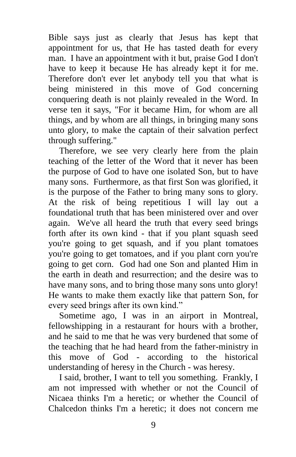Bible says just as clearly that Jesus has kept that appointment for us, that He has tasted death for every man. I have an appointment with it but, praise God I don't have to keep it because He has already kept it for me. Therefore don't ever let anybody tell you that what is being ministered in this move of God concerning conquering death is not plainly revealed in the Word. In verse ten it says, "For it became Him, for whom are all things, and by whom are all things, in bringing many sons unto glory, to make the captain of their salvation perfect through suffering."

Therefore, we see very clearly here from the plain teaching of the letter of the Word that it never has been the purpose of God to have one isolated Son, but to have many sons. Furthermore, as that first Son was glorified, it is the purpose of the Father to bring many sons to glory. At the risk of being repetitious I will lay out a foundational truth that has been ministered over and over again. We've all heard the truth that every seed brings forth after its own kind - that if you plant squash seed you're going to get squash, and if you plant tomatoes you're going to get tomatoes, and if you plant corn you're going to get corn. God had one Son and planted Him in the earth in death and resurrection; and the desire was to have many sons, and to bring those many sons unto glory! He wants to make them exactly like that pattern Son, for every seed brings after its own kind."

Sometime ago, I was in an airport in Montreal, fellowshipping in a restaurant for hours with a brother, and he said to me that he was very burdened that some of the teaching that he had heard from the father-ministry in this move of God - according to the historical understanding of heresy in the Church - was heresy.

I said, brother, I want to tell you something. Frankly, I am not impressed with whether or not the Council of Nicaea thinks I'm a heretic; or whether the Council of Chalcedon thinks I'm a heretic; it does not concern me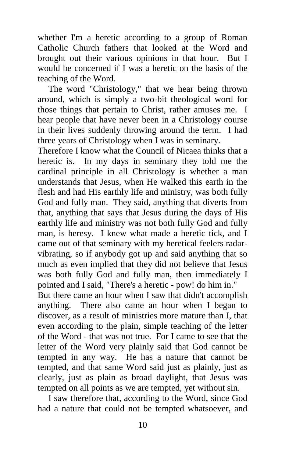whether I'm a heretic according to a group of Roman Catholic Church fathers that looked at the Word and brought out their various opinions in that hour. But I would be concerned if I was a heretic on the basis of the teaching of the Word.

The word "Christology," that we hear being thrown around, which is simply a two-bit theological word for those things that pertain to Christ, rather amuses me. I hear people that have never been in a Christology course in their lives suddenly throwing around the term. I had three years of Christology when I was in seminary.

Therefore I know what the Council of Nicaea thinks that a heretic is. In my days in seminary they told me the cardinal principle in all Christology is whether a man understands that Jesus, when He walked this earth in the flesh and had His earthly life and ministry, was both fully God and fully man. They said, anything that diverts from that, anything that says that Jesus during the days of His earthly life and ministry was not both fully God and fully man, is heresy. I knew what made a heretic tick, and I came out of that seminary with my heretical feelers radarvibrating, so if anybody got up and said anything that so much as even implied that they did not believe that Jesus was both fully God and fully man, then immediately I pointed and I said, "There's a heretic - pow! do him in."

But there came an hour when I saw that didn't accomplish anything. There also came an hour when I began to discover, as a result of ministries more mature than I, that even according to the plain, simple teaching of the letter of the Word - that was not true. For I came to see that the letter of the Word very plainly said that God cannot be tempted in any way. He has a nature that cannot be tempted, and that same Word said just as plainly, just as clearly, just as plain as broad daylight, that Jesus was tempted on all points as we are tempted, yet without sin.

I saw therefore that, according to the Word, since God had a nature that could not be tempted whatsoever, and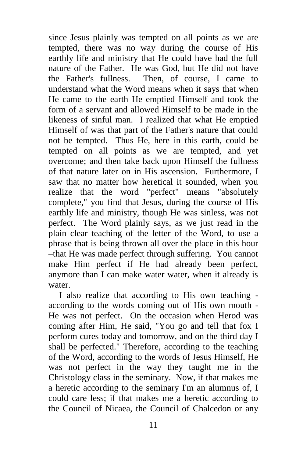since Jesus plainly was tempted on all points as we are tempted, there was no way during the course of His earthly life and ministry that He could have had the full nature of the Father. He was God, but He did not have the Father's fullness. Then, of course, I came to understand what the Word means when it says that when He came to the earth He emptied Himself and took the form of a servant and allowed Himself to be made in the likeness of sinful man. I realized that what He emptied Himself of was that part of the Father's nature that could not be tempted. Thus He, here in this earth, could be tempted on all points as we are tempted, and yet overcome; and then take back upon Himself the fullness of that nature later on in His ascension. Furthermore, I saw that no matter how heretical it sounded, when you realize that the word "perfect" means "absolutely complete," you find that Jesus, during the course of His earthly life and ministry, though He was sinless, was not perfect. The Word plainly says, as we just read in the plain clear teaching of the letter of the Word, to use a phrase that is being thrown all over the place in this hour –that He was made perfect through suffering. You cannot make Him perfect if He had already been perfect, anymore than I can make water water, when it already is water.

I also realize that according to His own teaching according to the words coming out of His own mouth - He was not perfect. On the occasion when Herod was coming after Him, He said, "You go and tell that fox I perform cures today and tomorrow, and on the third day I shall be perfected." Therefore, according to the teaching of the Word, according to the words of Jesus Himself, He was not perfect in the way they taught me in the Christology class in the seminary. Now, if that makes me a heretic according to the seminary I'm an alumnus of, I could care less; if that makes me a heretic according to the Council of Nicaea, the Council of Chalcedon or any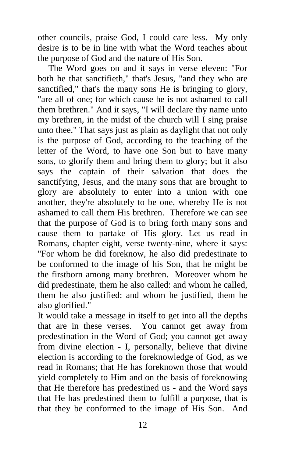other councils, praise God, I could care less. My only desire is to be in line with what the Word teaches about the purpose of God and the nature of His Son.

The Word goes on and it says in verse eleven: "For both he that sanctifieth," that's Jesus, "and they who are sanctified," that's the many sons He is bringing to glory, "are all of one; for which cause he is not ashamed to call them brethren." And it says, "I will declare thy name unto my brethren, in the midst of the church will I sing praise unto thee." That says just as plain as daylight that not only is the purpose of God, according to the teaching of the letter of the Word, to have one Son but to have many sons, to glorify them and bring them to glory; but it also says the captain of their salvation that does the sanctifying, Jesus, and the many sons that are brought to glory are absolutely to enter into a union with one another, they're absolutely to be one, whereby He is not ashamed to call them His brethren. Therefore we can see that the purpose of God is to bring forth many sons and cause them to partake of His glory. Let us read in Romans, chapter eight, verse twenty-nine, where it says: "For whom he did foreknow, he also did predestinate to be conformed to the image of his Son, that he might be the firstborn among many brethren. Moreover whom he did predestinate, them he also called: and whom he called, them he also justified: and whom he justified, them he also glorified."

It would take a message in itself to get into all the depths that are in these verses. You cannot get away from predestination in the Word of God; you cannot get away from divine election - I, personally, believe that divine election is according to the foreknowledge of God, as we read in Romans; that He has foreknown those that would yield completely to Him and on the basis of foreknowing that He therefore has predestined us - and the Word says that He has predestined them to fulfill a purpose, that is that they be conformed to the image of His Son. And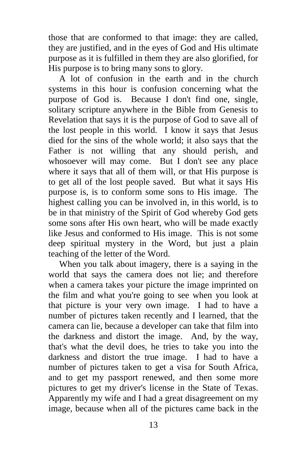those that are conformed to that image: they are called, they are justified, and in the eyes of God and His ultimate purpose as it is fulfilled in them they are also glorified, for His purpose is to bring many sons to glory.

A lot of confusion in the earth and in the church systems in this hour is confusion concerning what the purpose of God is. Because I don't find one, single, solitary scripture anywhere in the Bible from Genesis to Revelation that says it is the purpose of God to save all of the lost people in this world. I know it says that Jesus died for the sins of the whole world; it also says that the Father is not willing that any should perish, and whosoever will may come. But I don't see any place where it says that all of them will, or that His purpose is to get all of the lost people saved. But what it says His purpose is, is to conform some sons to His image. The highest calling you can be involved in, in this world, is to be in that ministry of the Spirit of God whereby God gets some sons after His own heart, who will be made exactly like Jesus and conformed to His image. This is not some deep spiritual mystery in the Word, but just a plain teaching of the letter of the Word.

When you talk about imagery, there is a saying in the world that says the camera does not lie; and therefore when a camera takes your picture the image imprinted on the film and what you're going to see when you look at that picture is your very own image. I had to have a number of pictures taken recently and I learned, that the camera can lie, because a developer can take that film into the darkness and distort the image. And, by the way, that's what the devil does, he tries to take you into the darkness and distort the true image. I had to have a number of pictures taken to get a visa for South Africa, and to get my passport renewed, and then some more pictures to get my driver's license in the State of Texas. Apparently my wife and I had a great disagreement on my image, because when all of the pictures came back in the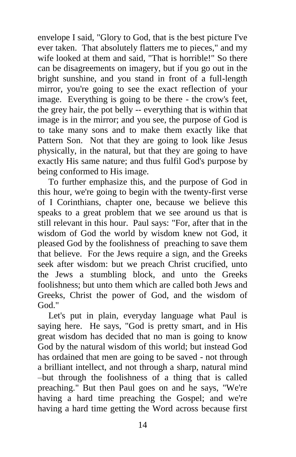envelope I said, "Glory to God, that is the best picture I've ever taken. That absolutely flatters me to pieces," and my wife looked at them and said, "That is horrible!" So there can be disagreements on imagery, but if you go out in the bright sunshine, and you stand in front of a full-length mirror, you're going to see the exact reflection of your image. Everything is going to be there - the crow's feet, the grey hair, the pot belly -- everything that is within that image is in the mirror; and you see, the purpose of God is to take many sons and to make them exactly like that Pattern Son. Not that they are going to look like Jesus physically, in the natural, but that they are going to have exactly His same nature; and thus fulfil God's purpose by being conformed to His image.

To further emphasize this, and the purpose of God in this hour, we're going to begin with the twenty-first verse of I Corinthians, chapter one, because we believe this speaks to a great problem that we see around us that is still relevant in this hour. Paul says: "For, after that in the wisdom of God the world by wisdom knew not God, it pleased God by the foolishness of preaching to save them that believe. For the Jews require a sign, and the Greeks seek after wisdom: but we preach Christ crucified, unto the Jews a stumbling block, and unto the Greeks foolishness; but unto them which are called both Jews and Greeks, Christ the power of God, and the wisdom of God."

Let's put in plain, everyday language what Paul is saying here. He says, "God is pretty smart, and in His great wisdom has decided that no man is going to know God by the natural wisdom of this world; but instead God has ordained that men are going to be saved - not through a brilliant intellect, and not through a sharp, natural mind –but through the foolishness of a thing that is called preaching." But then Paul goes on and he says, "We're having a hard time preaching the Gospel; and we're having a hard time getting the Word across because first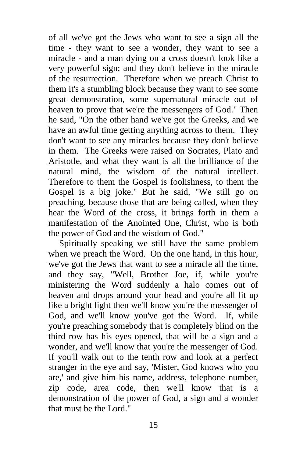of all we've got the Jews who want to see a sign all the time - they want to see a wonder, they want to see a miracle - and a man dying on a cross doesn't look like a very powerful sign; and they don't believe in the miracle of the resurrection. Therefore when we preach Christ to them it's a stumbling block because they want to see some great demonstration, some supernatural miracle out of heaven to prove that we're the messengers of God." Then he said, "On the other hand we've got the Greeks, and we have an awful time getting anything across to them. They don't want to see any miracles because they don't believe in them. The Greeks were raised on Socrates, Plato and Aristotle, and what they want is all the brilliance of the natural mind, the wisdom of the natural intellect. Therefore to them the Gospel is foolishness, to them the Gospel is a big joke." But he said, "We still go on preaching, because those that are being called, when they hear the Word of the cross, it brings forth in them a manifestation of the Anointed One, Christ, who is both the power of God and the wisdom of God."

Spiritually speaking we still have the same problem when we preach the Word. On the one hand, in this hour, we've got the Jews that want to see a miracle all the time, and they say, "Well, Brother Joe, if, while you're ministering the Word suddenly a halo comes out of heaven and drops around your head and you're all lit up like a bright light then we'll know you're the messenger of God, and we'll know you've got the Word. If, while you're preaching somebody that is completely blind on the third row has his eyes opened, that will be a sign and a wonder, and we'll know that you're the messenger of God. If you'll walk out to the tenth row and look at a perfect stranger in the eye and say, 'Mister, God knows who you are,' and give him his name, address, telephone number, zip code, area code, then we'll know that is a demonstration of the power of God, a sign and a wonder that must be the Lord."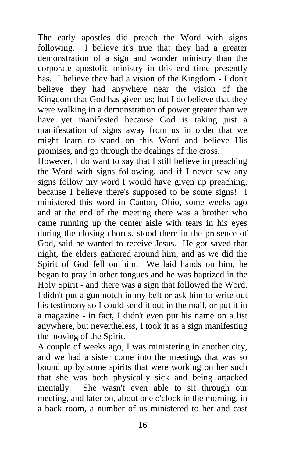The early apostles did preach the Word with signs following. I believe it's true that they had a greater demonstration of a sign and wonder ministry than the corporate apostolic ministry in this end time presently has. I believe they had a vision of the Kingdom - I don't believe they had anywhere near the vision of the Kingdom that God has given us; but I do believe that they were walking in a demonstration of power greater than we have yet manifested because God is taking just a manifestation of signs away from us in order that we might learn to stand on this Word and believe His promises, and go through the dealings of the cross.

However, I do want to say that I still believe in preaching the Word with signs following, and if I never saw any signs follow my word I would have given up preaching, because I believe there's supposed to be some signs! I ministered this word in Canton, Ohio, some weeks ago and at the end of the meeting there was a brother who came running up the center aisle with tears in his eyes during the closing chorus, stood there in the presence of God, said he wanted to receive Jesus. He got saved that night, the elders gathered around him, and as we did the Spirit of God fell on him. We laid hands on him, he began to pray in other tongues and he was baptized in the Holy Spirit - and there was a sign that followed the Word. I didn't put a gun notch in my belt or ask him to write out his testimony so I could send it out in the mail, or put it in a magazine - in fact, I didn't even put his name on a list anywhere, but nevertheless, I took it as a sign manifesting the moving of the Spirit.

A couple of weeks ago, I was ministering in another city, and we had a sister come into the meetings that was so bound up by some spirits that were working on her such that she was both physically sick and being attacked mentally. She wasn't even able to sit through our meeting, and later on, about one o'clock in the morning, in a back room, a number of us ministered to her and cast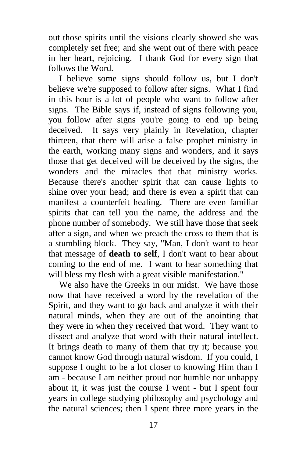out those spirits until the visions clearly showed she was completely set free; and she went out of there with peace in her heart, rejoicing. I thank God for every sign that follows the Word.

I believe some signs should follow us, but I don't believe we're supposed to follow after signs. What I find in this hour is a lot of people who want to follow after signs. The Bible says if, instead of signs following you, you follow after signs you're going to end up being deceived. It says very plainly in Revelation, chapter thirteen, that there will arise a false prophet ministry in the earth, working many signs and wonders, and it says those that get deceived will be deceived by the signs, the wonders and the miracles that that ministry works. Because there's another spirit that can cause lights to shine over your head; and there is even a spirit that can manifest a counterfeit healing. There are even familiar spirits that can tell you the name, the address and the phone number of somebody. We still have those that seek after a sign, and when we preach the cross to them that is a stumbling block. They say, "Man, I don't want to hear that message of **death to self**, I don't want to hear about coming to the end of me. I want to hear something that will bless my flesh with a great visible manifestation."

We also have the Greeks in our midst. We have those now that have received a word by the revelation of the Spirit, and they want to go back and analyze it with their natural minds, when they are out of the anointing that they were in when they received that word. They want to dissect and analyze that word with their natural intellect. It brings death to many of them that try it; because you cannot know God through natural wisdom. If you could, I suppose I ought to be a lot closer to knowing Him than I am - because I am neither proud nor humble nor unhappy about it, it was just the course I went - but I spent four years in college studying philosophy and psychology and the natural sciences; then I spent three more years in the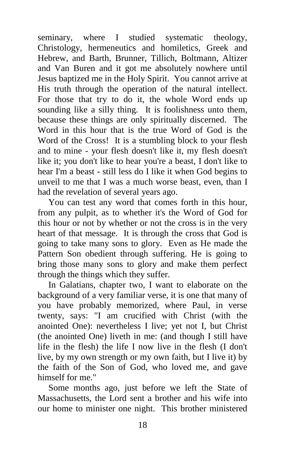seminary, where I studied systematic theology, Christology, hermeneutics and homiletics, Greek and Hebrew, and Barth, Brunner, Tillich, Boltmann, Altizer and Van Buren and it got me absolutely nowhere until Jesus baptized me in the Holy Spirit. You cannot arrive at His truth through the operation of the natural intellect. For those that try to do it, the whole Word ends up sounding like a silly thing. It is foolishness unto them, because these things are only spiritually discerned. The Word in this hour that is the true Word of God is the Word of the Cross! It is a stumbling block to your flesh and to mine - your flesh doesn't like it, my flesh doesn't like it; you don't like to hear you're a beast, I don't like to hear I'm a beast - still less do I like it when God begins to unveil to me that I was a much worse beast, even, than I had the revelation of several years ago.

You can test any word that comes forth in this hour, from any pulpit, as to whether it's the Word of God for this hour or not by whether or not the cross is in the very heart of that message. It is through the cross that God is going to take many sons to glory. Even as He made the Pattern Son obedient through suffering. He is going to bring those many sons to glory and make them perfect through the things which they suffer.

In Galatians, chapter two, I want to elaborate on the background of a very familiar verse, it is one that many of you have probably memorized, where Paul, in verse twenty, says: "I am crucified with Christ (with the anointed One): nevertheless I live; yet not I, but Christ (the anointed One) liveth in me: (and though I still have life in the flesh) the life I now live in the flesh (I don't live, by my own strength or my own faith, but I live it) by the faith of the Son of God, who loved me, and gave himself for me."

Some months ago, just before we left the State of Massachusetts, the Lord sent a brother and his wife into our home to minister one night. This brother ministered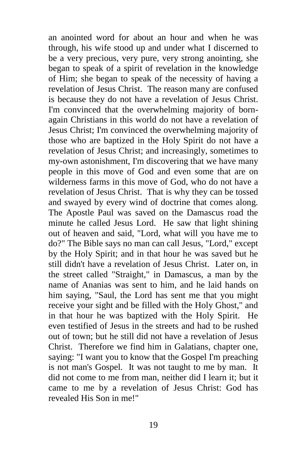an anointed word for about an hour and when he was through, his wife stood up and under what I discerned to be a very precious, very pure, very strong anointing, she began to speak of a spirit of revelation in the knowledge of Him; she began to speak of the necessity of having a revelation of Jesus Christ. The reason many are confused is because they do not have a revelation of Jesus Christ. I'm convinced that the overwhelming majority of bornagain Christians in this world do not have a revelation of Jesus Christ; I'm convinced the overwhelming majority of those who are baptized in the Holy Spirit do not have a revelation of Jesus Christ; and increasingly, sometimes to my-own astonishment, I'm discovering that we have many people in this move of God and even some that are on wilderness farms in this move of God, who do not have a revelation of Jesus Christ. That is why they can be tossed and swayed by every wind of doctrine that comes along. The Apostle Paul was saved on the Damascus road the minute he called Jesus Lord. He saw that light shining out of heaven and said, "Lord, what will you have me to do?" The Bible says no man can call Jesus, "Lord," except by the Holy Spirit; and in that hour he was saved but he still didn't have a revelation of Jesus Christ. Later on, in the street called "Straight," in Damascus, a man by the name of Ananias was sent to him, and he laid hands on him saying, "Saul, the Lord has sent me that you might receive your sight and be filled with the Holy Ghost," and in that hour he was baptized with the Holy Spirit. He even testified of Jesus in the streets and had to be rushed out of town; but he still did not have a revelation of Jesus Christ. Therefore we find him in Galatians, chapter one, saying: "I want you to know that the Gospel I'm preaching is not man's Gospel. It was not taught to me by man. It did not come to me from man, neither did I learn it; but it came to me by a revelation of Jesus Christ: God has revealed His Son in me!"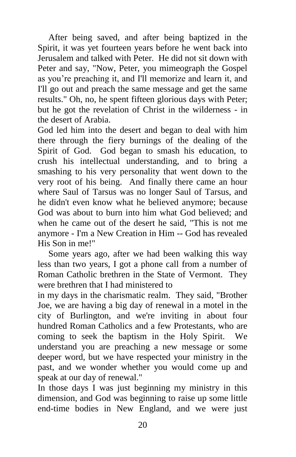After being saved, and after being baptized in the Spirit, it was yet fourteen years before he went back into Jerusalem and talked with Peter. He did not sit down with Peter and say, "Now, Peter, you mimeograph the Gospel as you're preaching it, and I'll memorize and learn it, and I'll go out and preach the same message and get the same results." Oh, no, he spent fifteen glorious days with Peter; but he got the revelation of Christ in the wilderness - in the desert of Arabia.

God led him into the desert and began to deal with him there through the fiery burnings of the dealing of the Spirit of God. God began to smash his education, to crush his intellectual understanding, and to bring a smashing to his very personality that went down to the very root of his being. And finally there came an hour where Saul of Tarsus was no longer Saul of Tarsus, and he didn't even know what he believed anymore; because God was about to burn into him what God believed; and when he came out of the desert he said, "This is not me anymore - I'm a New Creation in Him -- God has revealed His Son in me!"

Some years ago, after we had been walking this way less than two years, I got a phone call from a number of Roman Catholic brethren in the State of Vermont. They were brethren that I had ministered to

in my days in the charismatic realm. They said, "Brother Joe, we are having a big day of renewal in a motel in the city of Burlington, and we're inviting in about four hundred Roman Catholics and a few Protestants, who are coming to seek the baptism in the Holy Spirit. We understand you are preaching a new message or some deeper word, but we have respected your ministry in the past, and we wonder whether you would come up and speak at our day of renewal."

In those days I was just beginning my ministry in this dimension, and God was beginning to raise up some little end-time bodies in New England, and we were just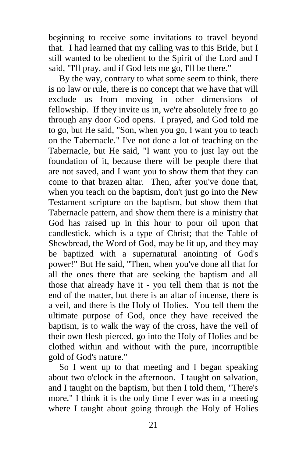beginning to receive some invitations to travel beyond that. I had learned that my calling was to this Bride, but I still wanted to be obedient to the Spirit of the Lord and I said, "I'll pray, and if God lets me go, I'll be there."

By the way, contrary to what some seem to think, there is no law or rule, there is no concept that we have that will exclude us from moving in other dimensions of fellowship. If they invite us in, we're absolutely free to go through any door God opens. I prayed, and God told me to go, but He said, "Son, when you go, I want you to teach on the Tabernacle." I've not done a lot of teaching on the Tabernacle, but He said, "I want you to just lay out the foundation of it, because there will be people there that are not saved, and I want you to show them that they can come to that brazen altar. Then, after you've done that, when you teach on the baptism, don't just go into the New Testament scripture on the baptism, but show them that Tabernacle pattern, and show them there is a ministry that God has raised up in this hour to pour oil upon that candlestick, which is a type of Christ; that the Table of Shewbread, the Word of God, may be lit up, and they may be baptized with a supernatural anointing of God's power!" But He said, "Then, when you've done all that for all the ones there that are seeking the baptism and all those that already have it - you tell them that is not the end of the matter, but there is an altar of incense, there is a veil, and there is the Holy of Holies. You tell them the ultimate purpose of God, once they have received the baptism, is to walk the way of the cross, have the veil of their own flesh pierced, go into the Holy of Holies and be clothed within and without with the pure, incorruptible gold of God's nature."

So I went up to that meeting and I began speaking about two o'clock in the afternoon. I taught on salvation, and I taught on the baptism, but then I told them, "There's more." I think it is the only time I ever was in a meeting where I taught about going through the Holy of Holies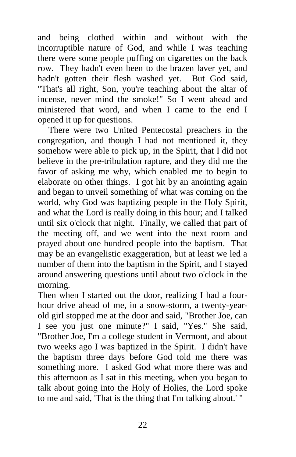and being clothed within and without with the incorruptible nature of God, and while I was teaching there were some people puffing on cigarettes on the back row. They hadn't even been to the brazen laver yet, and hadn't gotten their flesh washed yet. But God said, "That's all right, Son, you're teaching about the altar of incense, never mind the smoke!" So I went ahead and ministered that word, and when I came to the end I opened it up for questions.

There were two United Pentecostal preachers in the congregation, and though I had not mentioned it, they somehow were able to pick up, in the Spirit, that I did not believe in the pre-tribulation rapture, and they did me the favor of asking me why, which enabled me to begin to elaborate on other things. I got hit by an anointing again and began to unveil something of what was coming on the world, why God was baptizing people in the Holy Spirit, and what the Lord is really doing in this hour; and I talked until six o'clock that night. Finally, we called that part of the meeting off, and we went into the next room and prayed about one hundred people into the baptism. That may be an evangelistic exaggeration, but at least we led a number of them into the baptism in the Spirit, and I stayed around answering questions until about two o'clock in the morning.

Then when I started out the door, realizing I had a fourhour drive ahead of me, in a snow-storm, a twenty-yearold girl stopped me at the door and said, "Brother Joe, can I see you just one minute?" I said, "Yes." She said, "Brother Joe, I'm a college student in Vermont, and about two weeks ago I was baptized in the Spirit. I didn't have the baptism three days before God told me there was something more. I asked God what more there was and this afternoon as I sat in this meeting, when you began to talk about going into the Holy of Holies, the Lord spoke to me and said, 'That is the thing that I'm talking about.' "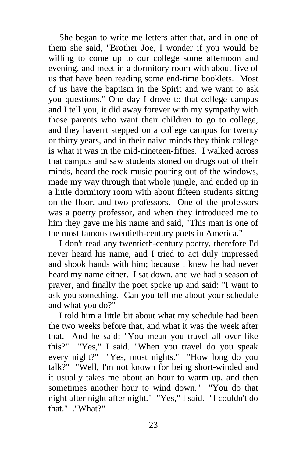She began to write me letters after that, and in one of them she said, "Brother Joe, I wonder if you would be willing to come up to our college some afternoon and evening, and meet in a dormitory room with about five of us that have been reading some end-time booklets. Most of us have the baptism in the Spirit and we want to ask you questions." One day I drove to that college campus and I tell you, it did away forever with my sympathy with those parents who want their children to go to college, and they haven't stepped on a college campus for twenty or thirty years, and in their naive minds they think college is what it was in the mid-nineteen-fifties. I walked across that campus and saw students stoned on drugs out of their minds, heard the rock music pouring out of the windows, made my way through that whole jungle, and ended up in a little dormitory room with about fifteen students sitting on the floor, and two professors. One of the professors was a poetry professor, and when they introduced me to him they gave me his name and said, "This man is one of the most famous twentieth-century poets in America."

I don't read any twentieth-century poetry, therefore I'd never heard his name, and I tried to act duly impressed and shook hands with him; because I knew he had never heard my name either. I sat down, and we had a season of prayer, and finally the poet spoke up and said: "I want to ask you something. Can you tell me about your schedule and what you do?"

I told him a little bit about what my schedule had been the two weeks before that, and what it was the week after that. And he said: "You mean you travel all over like this?" "Yes," I said. "When you travel do you speak every night?" "Yes, most nights." "How long do you talk?" "Well, I'm not known for being short-winded and it usually takes me about an hour to warm up, and then sometimes another hour to wind down." "You do that night after night after night." "Yes," I said. "I couldn't do that." ."What?"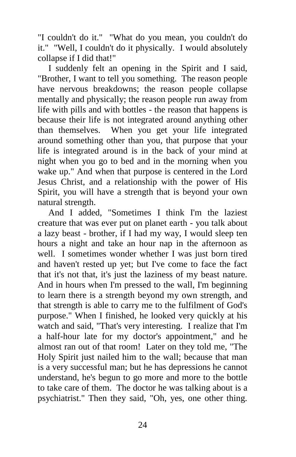"I couldn't do it." "What do you mean, you couldn't do it." "Well, I couldn't do it physically. I would absolutely collapse if I did that!"

I suddenly felt an opening in the Spirit and I said, "Brother, I want to tell you something. The reason people have nervous breakdowns; the reason people collapse mentally and physically; the reason people run away from life with pills and with bottles - the reason that happens is because their life is not integrated around anything other than themselves. When you get your life integrated around something other than you, that purpose that your life is integrated around is in the back of your mind at night when you go to bed and in the morning when you wake up." And when that purpose is centered in the Lord Jesus Christ, and a relationship with the power of His Spirit, you will have a strength that is beyond your own natural strength.

And I added, "Sometimes I think I'm the laziest creature that was ever put on planet earth - you talk about a lazy beast - brother, if I had my way, I would sleep ten hours a night and take an hour nap in the afternoon as well. I sometimes wonder whether I was just born tired and haven't rested up yet; but I've come to face the fact that it's not that, it's just the laziness of my beast nature. And in hours when I'm pressed to the wall, I'm beginning to learn there is a strength beyond my own strength, and that strength is able to carry me to the fulfilment of God's purpose." When I finished, he looked very quickly at his watch and said, "That's very interesting. I realize that I'm a half-hour late for my doctor's appointment," and he almost ran out of that room! Later on they told me, "The Holy Spirit just nailed him to the wall; because that man is a very successful man; but he has depressions he cannot understand, he's begun to go more and more to the bottle to take care of them. The doctor he was talking about is a psychiatrist." Then they said, "Oh, yes, one other thing.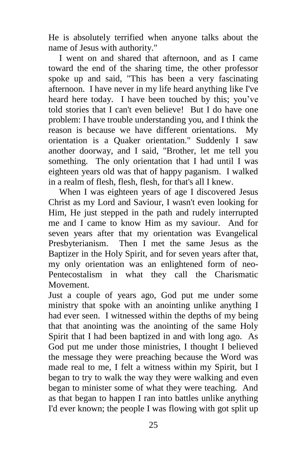He is absolutely terrified when anyone talks about the name of Jesus with authority."

I went on and shared that afternoon, and as I came toward the end of the sharing time, the other professor spoke up and said, "This has been a very fascinating afternoon. I have never in my life heard anything like I've heard here today. I have been touched by this; you've told stories that I can't even believe! But I do have one problem: I have trouble understanding you, and I think the reason is because we have different orientations. My orientation is a Quaker orientation." Suddenly I saw another doorway, and I said, "Brother, let me tell you something. The only orientation that I had until I was eighteen years old was that of happy paganism. I walked in a realm of flesh, flesh, flesh, for that's all I knew.

When I was eighteen years of age I discovered Jesus Christ as my Lord and Saviour, I wasn't even looking for Him, He just stepped in the path and rudely interrupted me and I came to know Him as my saviour. And for seven years after that my orientation was Evangelical Presbyterianism. Then I met the same Jesus as the Baptizer in the Holy Spirit, and for seven years after that, my only orientation was an enlightened form of neo-Pentecostalism in what they call the Charismatic Movement.

Just a couple of years ago, God put me under some ministry that spoke with an anointing unlike anything I had ever seen. I witnessed within the depths of my being that that anointing was the anointing of the same Holy Spirit that I had been baptized in and with long ago. As God put me under those ministries, I thought I believed the message they were preaching because the Word was made real to me, I felt a witness within my Spirit, but I began to try to walk the way they were walking and even began to minister some of what they were teaching. And as that began to happen I ran into battles unlike anything I'd ever known; the people I was flowing with got split up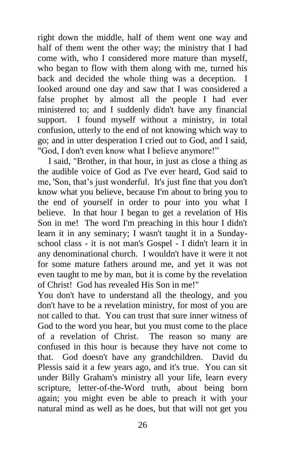right down the middle, half of them went one way and half of them went the other way; the ministry that I had come with, who I considered more mature than myself, who began to flow with them along with me, turned his back and decided the whole thing was a deception. I looked around one day and saw that I was considered a false prophet by almost all the people I had ever ministered to; and I suddenly didn't have any financial support. I found myself without a ministry, in total confusion, utterly to the end of not knowing which way to go; and in utter desperation I cried out to God, and I said, "God, I don't even know what I believe anymore!"

I said, "Brother, in that hour, in just as close a thing as the audible voice of God as I've ever heard, God said to me, 'Son, that's just wonderful. It's just fine that you don't know what you believe, because I'm about to bring you to the end of yourself in order to pour into you what I believe. In that hour I began to get a revelation of His Son in me! The word I'm preaching in this hour I didn't learn it in any seminary; I wasn't taught it in a Sundayschool class - it is not man's Gospel - I didn't learn it in any denominational church. I wouldn't have it were it not for some mature fathers around me, and yet it was not even taught to me by man, but it is come by the revelation of Christ! God has revealed His Son in me!"

You don't have to understand all the theology, and you don't have to be a revelation ministry, for most of you are not called to that. You can trust that sure inner witness of God to the word you hear, but you must come to the place of a revelation of Christ. The reason so many are confused in this hour is because they have not come to that. God doesn't have any grandchildren. David du Plessis said it a few years ago, and it's true. You can sit under Billy Graham's ministry all your life, learn every scripture, letter-of-the-Word truth, about being born again; you might even be able to preach it with your natural mind as well as he does, but that will not get you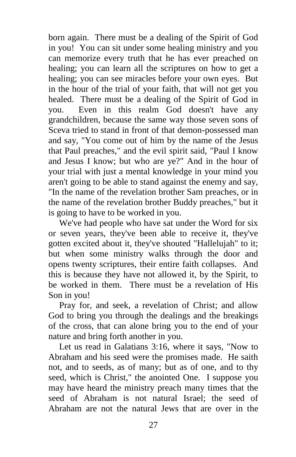born again. There must be a dealing of the Spirit of God in you! You can sit under some healing ministry and you can memorize every truth that he has ever preached on healing; you can learn all the scriptures on how to get a healing; you can see miracles before your own eyes. But in the hour of the trial of your faith, that will not get you healed. There must be a dealing of the Spirit of God in you. Even in this realm God doesn't have any grandchildren, because the same way those seven sons of Sceva tried to stand in front of that demon-possessed man and say, "You come out of him by the name of the Jesus that Paul preaches," and the evil spirit said, "Paul I know and Jesus I know; but who are ye?" And in the hour of your trial with just a mental knowledge in your mind you aren't going to be able to stand against the enemy and say, "In the name of the revelation brother Sam preaches, or in the name of the revelation brother Buddy preaches," but it is going to have to be worked in you.

We've had people who have sat under the Word for six or seven years, they've been able to receive it, they've gotten excited about it, they've shouted "Hallelujah" to it; but when some ministry walks through the door and opens twenty scriptures, their entire faith collapses. And this is because they have not allowed it, by the Spirit, to be worked in them. There must be a revelation of His Son in you!

Pray for, and seek, a revelation of Christ; and allow God to bring you through the dealings and the breakings of the cross, that can alone bring you to the end of your nature and bring forth another in you.

Let us read in Galatians 3:16, where it says, "Now to Abraham and his seed were the promises made. He saith not, and to seeds, as of many; but as of one, and to thy seed, which is Christ," the anointed One. I suppose you may have heard the ministry preach many times that the seed of Abraham is not natural Israel; the seed of Abraham are not the natural Jews that are over in the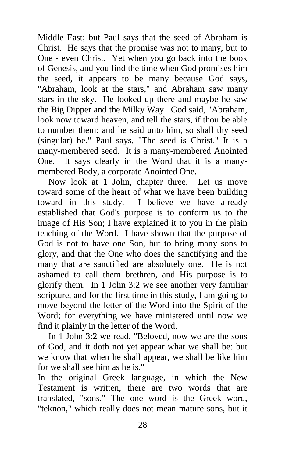Middle East; but Paul says that the seed of Abraham is Christ. He says that the promise was not to many, but to One - even Christ. Yet when you go back into the book of Genesis, and you find the time when God promises him the seed, it appears to be many because God says, "Abraham, look at the stars," and Abraham saw many stars in the sky. He looked up there and maybe he saw the Big Dipper and the Milky Way. God said, "Abraham, look now toward heaven, and tell the stars, if thou be able to number them: and he said unto him, so shall thy seed (singular) be." Paul says, "The seed is Christ." It is a many-membered seed. It is a many-membered Anointed One. It says clearly in the Word that it is a manymembered Body, a corporate Anointed One.

Now look at 1 John, chapter three. Let us move toward some of the heart of what we have been building toward in this study. I believe we have already established that God's purpose is to conform us to the image of His Son; I have explained it to you in the plain teaching of the Word. I have shown that the purpose of God is not to have one Son, but to bring many sons to glory, and that the One who does the sanctifying and the many that are sanctified are absolutely one. He is not ashamed to call them brethren, and His purpose is to glorify them. In 1 John 3:2 we see another very familiar scripture, and for the first time in this study, I am going to move beyond the letter of the Word into the Spirit of the Word; for everything we have ministered until now we find it plainly in the letter of the Word.

In 1 John 3:2 we read, "Beloved, now we are the sons of God, and it doth not yet appear what we shall be: but we know that when he shall appear, we shall be like him for we shall see him as he is."

In the original Greek language, in which the New Testament is written, there are two words that are translated, "sons." The one word is the Greek word, "teknon," which really does not mean mature sons, but it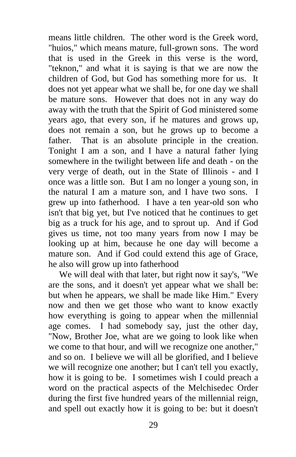means little children. The other word is the Greek word, "huios," which means mature, full-grown sons. The word that is used in the Greek in this verse is the word, "teknon," and what it is saying is that we are now the children of God, but God has something more for us. It does not yet appear what we shall be, for one day we shall be mature sons. However that does not in any way do away with the truth that the Spirit of God ministered some years ago, that every son, if he matures and grows up, does not remain a son, but he grows up to become a father. That is an absolute principle in the creation. Tonight I am a son, and I have a natural father lying somewhere in the twilight between life and death - on the very verge of death, out in the State of Illinois - and I once was a little son. But I am no longer a young son, in the natural I am a mature son, and I have two sons. I grew up into fatherhood. I have a ten year-old son who isn't that big yet, but I've noticed that he continues to get big as a truck for his age, and to sprout up. And if God gives us time, not too many years from now I may be looking up at him, because he one day will become a mature son. And if God could extend this age of Grace, he also will grow up into fatherhood

We will deal with that later, but right now it say's, "We are the sons, and it doesn't yet appear what we shall be: but when he appears, we shall be made like Him." Every now and then we get those who want to know exactly how everything is going to appear when the millennial age comes. I had somebody say, just the other day, "Now, Brother Joe, what are we going to look like when we come to that hour, and will we recognize one another," and so on. I believe we will all be glorified, and I believe we will recognize one another; but I can't tell you exactly, how it is going to be. I sometimes wish I could preach a word on the practical aspects of the Melchisedec Order during the first five hundred years of the millennial reign, and spell out exactly how it is going to be: but it doesn't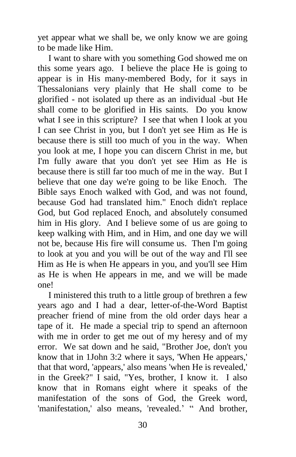yet appear what we shall be, we only know we are going to be made like Him.

I want to share with you something God showed me on this some years ago. I believe the place He is going to appear is in His many-membered Body, for it says in Thessalonians very plainly that He shall come to be glorified - not isolated up there as an individual -but He shall come to be glorified in His saints. Do you know what I see in this scripture? I see that when I look at you I can see Christ in you, but I don't yet see Him as He is because there is still too much of you in the way. When you look at me, I hope you can discern Christ in me, but I'm fully aware that you don't yet see Him as He is because there is still far too much of me in the way. But I believe that one day we're going to be like Enoch. The Bible says Enoch walked with God, and was not found, because God had translated him." Enoch didn't replace God, but God replaced Enoch, and absolutely consumed him in His glory. And I believe some of us are going to keep walking with Him, and in Him, and one day we will not be, because His fire will consume us. Then I'm going to look at you and you will be out of the way and I'll see Him as He is when He appears in you, and you'll see Him as He is when He appears in me, and we will be made one!

I ministered this truth to a little group of brethren a few years ago and I had a dear, letter-of-the-Word Baptist preacher friend of mine from the old order days hear a tape of it. He made a special trip to spend an afternoon with me in order to get me out of my heresy and of my error. We sat down and he said, "Brother Joe, don't you know that in 1John 3:2 where it says, 'When He appears,' that that word, 'appears,' also means 'when He is revealed,' in the Greek?" I said, "Yes, brother, I know it. I also know that in Romans eight where it speaks of the manifestation of the sons of God, the Greek word, 'manifestation,' also means, 'revealed.' " And brother,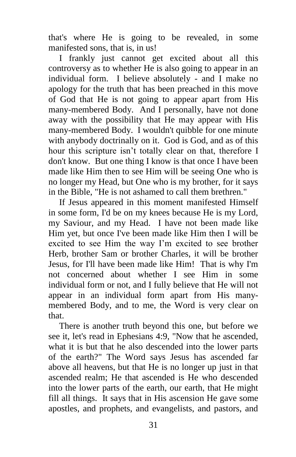that's where He is going to be revealed, in some manifested sons, that is, in us!

I frankly just cannot get excited about all this controversy as to whether He is also going to appear in an individual form. I believe absolutely - and I make no apology for the truth that has been preached in this move of God that He is not going to appear apart from His many-membered Body. And I personally, have not done away with the possibility that He may appear with His many-membered Body. I wouldn't quibble for one minute with anybody doctrinally on it. God is God, and as of this hour this scripture isn't totally clear on that, therefore I don't know. But one thing I know is that once I have been made like Him then to see Him will be seeing One who is no longer my Head, but One who is my brother, for it says in the Bible, "He is not ashamed to call them brethren."

If Jesus appeared in this moment manifested Himself in some form, I'd be on my knees because He is my Lord, my Saviour, and my Head. I have not been made like Him yet, but once I've been made like Him then I will be excited to see Him the way I'm excited to see brother Herb, brother Sam or brother Charles, it will be brother Jesus, for I'll have been made like Him! That is why I'm not concerned about whether I see Him in some individual form or not, and I fully believe that He will not appear in an individual form apart from His manymembered Body, and to me, the Word is very clear on that.

There is another truth beyond this one, but before we see it, let's read in Ephesians 4:9, "Now that he ascended, what it is but that he also descended into the lower parts of the earth?" The Word says Jesus has ascended far above all heavens, but that He is no longer up just in that ascended realm; He that ascended is He who descended into the lower parts of the earth, our earth, that He might fill all things. It says that in His ascension He gave some apostles, and prophets, and evangelists, and pastors, and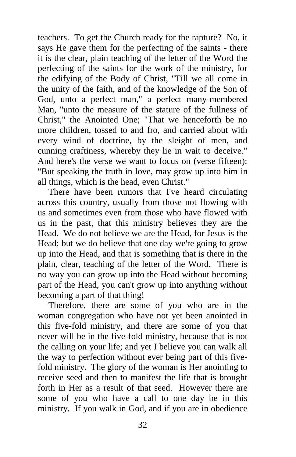teachers. To get the Church ready for the rapture? No, it says He gave them for the perfecting of the saints - there it is the clear, plain teaching of the letter of the Word the perfecting of the saints for the work of the ministry, for the edifying of the Body of Christ, "Till we all come in the unity of the faith, and of the knowledge of the Son of God, unto a perfect man," a perfect many-membered Man, "unto the measure of the stature of the fullness of Christ," the Anointed One; "That we henceforth be no more children, tossed to and fro, and carried about with every wind of doctrine, by the sleight of men, and cunning craftiness, whereby they lie in wait to deceive." And here's the verse we want to focus on (verse fifteen): "But speaking the truth in love, may grow up into him in all things, which is the head, even Christ."

There have been rumors that I've heard circulating across this country, usually from those not flowing with us and sometimes even from those who have flowed with us in the past, that this ministry believes they are the Head. We do not believe we are the Head, for Jesus is the Head; but we do believe that one day we're going to grow up into the Head, and that is something that is there in the plain, clear, teaching of the letter of the Word. There is no way you can grow up into the Head without becoming part of the Head, you can't grow up into anything without becoming a part of that thing!

Therefore, there are some of you who are in the woman congregation who have not yet been anointed in this five-fold ministry, and there are some of you that never will be in the five-fold ministry, because that is not the calling on your life; and yet I believe you can walk all the way to perfection without ever being part of this fivefold ministry. The glory of the woman is Her anointing to receive seed and then to manifest the life that is brought forth in Her as a result of that seed. However there are some of you who have a call to one day be in this ministry. If you walk in God, and if you are in obedience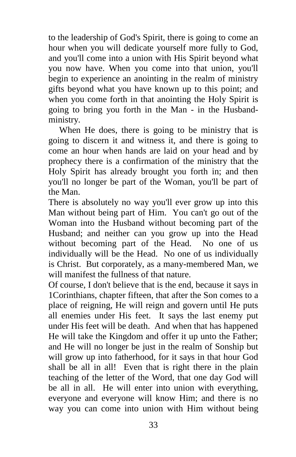to the leadership of God's Spirit, there is going to come an hour when you will dedicate yourself more fully to God, and you'll come into a union with His Spirit beyond what you now have. When you come into that union, you'll begin to experience an anointing in the realm of ministry gifts beyond what you have known up to this point; and when you come forth in that anointing the Holy Spirit is going to bring you forth in the Man - in the Husbandministry.

When He does, there is going to be ministry that is going to discern it and witness it, and there is going to come an hour when hands are laid on your head and by prophecy there is a confirmation of the ministry that the Holy Spirit has already brought you forth in; and then you'll no longer be part of the Woman, you'll be part of the Man.

There is absolutely no way you'll ever grow up into this Man without being part of Him. You can't go out of the Woman into the Husband without becoming part of the Husband; and neither can you grow up into the Head without becoming part of the Head. No one of us individually will be the Head. No one of us individually is Christ. But corporately, as a many-membered Man, we will manifest the fullness of that nature.

Of course, I don't believe that is the end, because it says in 1Corinthians, chapter fifteen, that after the Son comes to a place of reigning, He will reign and govern until He puts all enemies under His feet. It says the last enemy put under His feet will be death. And when that has happened He will take the Kingdom and offer it up unto the Father; and He will no longer be just in the realm of Sonship but will grow up into fatherhood, for it says in that hour God shall be all in all! Even that is right there in the plain teaching of the letter of the Word, that one day God will be all in all. He will enter into union with everything, everyone and everyone will know Him; and there is no way you can come into union with Him without being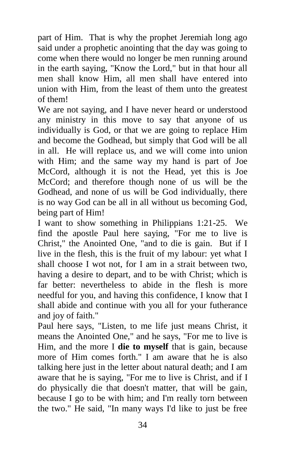part of Him. That is why the prophet Jeremiah long ago said under a prophetic anointing that the day was going to come when there would no longer be men running around in the earth saying, "Know the Lord," but in that hour all men shall know Him, all men shall have entered into union with Him, from the least of them unto the greatest of them!

We are not saying, and I have never heard or understood any ministry in this move to say that anyone of us individually is God, or that we are going to replace Him and become the Godhead, but simply that God will be all in all. He will replace us, and we will come into union with Him; and the same way my hand is part of Joe McCord, although it is not the Head, yet this is Joe McCord; and therefore though none of us will be the Godhead, and none of us will be God individually, there is no way God can be all in all without us becoming God, being part of Him!

I want to show something in Philippians 1:21-25. We find the apostle Paul here saying, "For me to live is Christ," the Anointed One, "and to die is gain. But if I live in the flesh, this is the fruit of my labour: yet what I shall choose I wot not, for I am in a strait between two, having a desire to depart, and to be with Christ; which is far better: nevertheless to abide in the flesh is more needful for you, and having this confidence, I know that I shall abide and continue with you all for your futherance and joy of faith."

Paul here says, "Listen, to me life just means Christ, it means the Anointed One," and he says, "For me to live is Him, and the more I **die to myself** that is gain, because more of Him comes forth." I am aware that he is also talking here just in the letter about natural death; and I am aware that he is saying, "For me to live is Christ, and if I do physically die that doesn't matter, that will be gain, because I go to be with him; and I'm really torn between the two." He said, "In many ways I'd like to just be free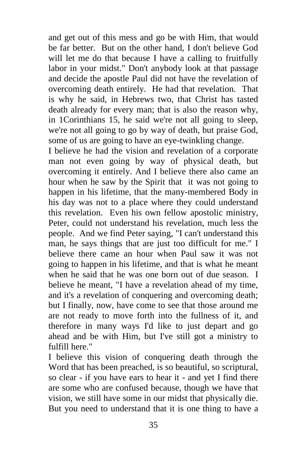and get out of this mess and go be with Him, that would be far better. But on the other hand, I don't believe God will let me do that because I have a calling to fruitfully labor in your midst." Don't anybody look at that passage and decide the apostle Paul did not have the revelation of overcoming death entirely. He had that revelation. That is why he said, in Hebrews two, that Christ has tasted death already for every man; that is also the reason why, in 1Corinthians 15, he said we're not all going to sleep, we're not all going to go by way of death, but praise God, some of us are going to have an eye-twinkling change.

I believe he had the vision and revelation of a corporate man not even going by way of physical death, but overcoming it entirely. And I believe there also came an hour when he saw by the Spirit that it was not going to happen in his lifetime, that the many-membered Body in his day was not to a place where they could understand this revelation. Even his own fellow apostolic ministry, Peter, could not understand his revelation, much less the people. And we find Peter saying, "I can't understand this man, he says things that are just too difficult for me." I believe there came an hour when Paul saw it was not going to happen in his lifetime, and that is what he meant when he said that he was one born out of due season. I believe he meant, "I have a revelation ahead of my time, and it's a revelation of conquering and overcoming death; but I finally, now, have come to see that those around me are not ready to move forth into the fullness of it, and therefore in many ways I'd like to just depart and go ahead and be with Him, but I've still got a ministry to fulfill here."

I believe this vision of conquering death through the Word that has been preached, is so beautiful, so scriptural, so clear - if you have ears to hear it - and yet I find there are some who are confused because, though we have that vision, we still have some in our midst that physically die. But you need to understand that it is one thing to have a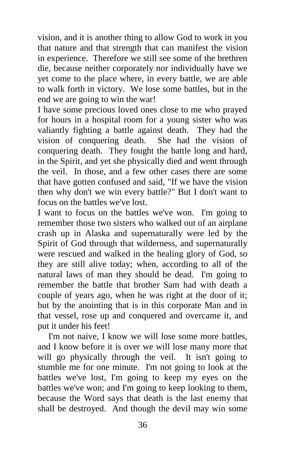vision, and it is another thing to allow God to work in you that nature and that strength that can manifest the vision in experience. Therefore we still see some of the brethren die, because neither corporately nor individually have we yet come to the place where, in every battle, we are able to walk forth in victory. We lose some battles, but in the end we are going to win the war!

I have some precious loved ones close to me who prayed for hours in a hospital room for a young sister who was valiantly fighting a battle against death. They had the vision of conquering death. She had the vision of conquering death. They fought the battle long and hard, in the Spirit, and yet she physically died and went through the veil. In those, and a few other cases there are some that have gotten confused and said, "If we have the vision then why don't we win every battle?" But I don't want to focus on the battles we've lost.

I want to focus on the battles we've won. I'm going to remember those two sisters who walked out of an airplane crash up in Alaska and supernaturally were led by the Spirit of God through that wilderness, and supernaturally were rescued and walked in the healing glory of God, so they are still alive today; when, according to all of the natural laws of man they should be dead. I'm going to remember the battle that brother Sam had with death a couple of years ago, when he was right at the door of it; but by the anointing that is in this corporate Man and in that vessel, rose up and conquered and overcame it, and put it under his feet!

I'm not naive, I know we will lose some more battles, and I know before it is over we will lose many more that will go physically through the veil. It isn't going to stumble me for one minute. I'm not going to look at the battles we've lost, I'm going to keep my eyes on the battles we've won; and I'm going to keep looking to them, because the Word says that death is the last enemy that shall be destroyed. And though the devil may win some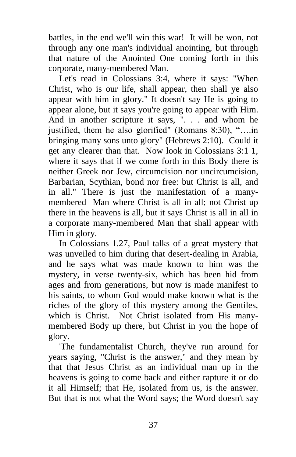battles, in the end we'll win this war! It will be won, not through any one man's individual anointing, but through that nature of the Anointed One coming forth in this corporate, many-membered Man.

Let's read in Colossians 3:4, where it says: "When Christ, who is our life, shall appear, then shall ye also appear with him in glory." It doesn't say He is going to appear alone, but it says you're going to appear with Him. And in another scripture it says, ". . . and whom he justified, them he also glorified" (Romans 8:30), "....in bringing many sons unto glory" (Hebrews 2:10). Could it get any clearer than that. Now look in Colossians 3:1 1, where it says that if we come forth in this Body there is neither Greek nor Jew, circumcision nor uncircumcision, Barbarian, Scythian, bond nor free: but Christ is all, and in all." There is just the manifestation of a manymembered Man where Christ is all in all; not Christ up there in the heavens is all, but it says Christ is all in all in a corporate many-membered Man that shall appear with Him in glory.

In Colossians 1.27, Paul talks of a great mystery that was unveiled to him during that desert-dealing in Arabia, and he says what was made known to him was the mystery, in verse twenty-six, which has been hid from ages and from generations, but now is made manifest to his saints, to whom God would make known what is the riches of the glory of this mystery among the Gentiles, which is Christ. Not Christ isolated from His manymembered Body up there, but Christ in you the hope of glory.

'The fundamentalist Church, they've run around for years saying, "Christ is the answer," and they mean by that that Jesus Christ as an individual man up in the heavens is going to come back and either rapture it or do it all Himself; that He, isolated from us, is the answer. But that is not what the Word says; the Word doesn't say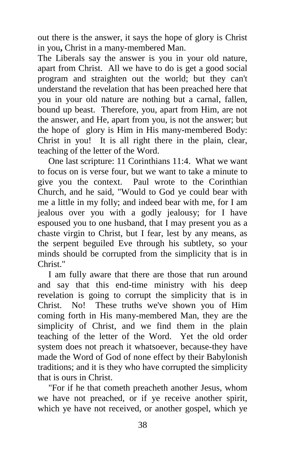out there is the answer, it says the hope of glory is Christ in you**,** Christ in a many-membered Man.

The Liberals say the answer is you in your old nature, apart from Christ. All we have to do is get a good social program and straighten out the world; but they can't understand the revelation that has been preached here that you in your old nature are nothing but a carnal, fallen, bound up beast. Therefore, you, apart from Him, are not the answer, and He, apart from you, is not the answer; but the hope of glory is Him in His many-membered Body: Christ in you! It is all right there in the plain, clear, teaching of the letter of the Word.

One last scripture: 11 Corinthians 11:4. What we want to focus on is verse four, but we want to take a minute to give you the context. Paul wrote to the Corinthian Church, and he said, "Would to God ye could bear with me a little in my folly; and indeed bear with me, for I am jealous over you with a godly jealousy; for I have espoused you to one husband, that I may present you as a chaste virgin to Christ, but I fear, lest by any means, as the serpent beguiled Eve through his subtlety, so your minds should be corrupted from the simplicity that is in Christ."

I am fully aware that there are those that run around and say that this end-time ministry with his deep revelation is going to corrupt the simplicity that is in Christ. No! These truths we've shown you of Him coming forth in His many-membered Man, they are the simplicity of Christ, and we find them in the plain teaching of the letter of the Word. Yet the old order system does not preach it whatsoever, because-they have made the Word of God of none effect by their Babylonish traditions; and it is they who have corrupted the simplicity that is ours in Christ.

"For if he that cometh preacheth another Jesus, whom we have not preached, or if ye receive another spirit, which ye have not received, or another gospel, which ye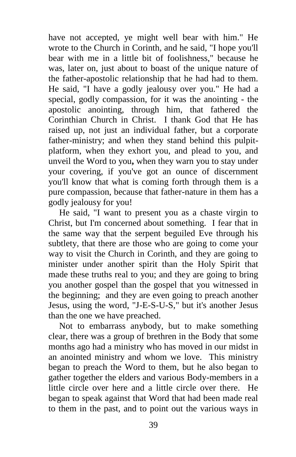have not accepted, ye might well bear with him." He wrote to the Church in Corinth, and he said, "I hope you'll bear with me in a little bit of foolishness," because he was, later on, just about to boast of the unique nature of the father-apostolic relationship that he had had to them. He said, "I have a godly jealousy over you." He had a special, godly compassion, for it was the anointing - the apostolic anointing, through him, that fathered the Corinthian Church in Christ. I thank God that He has raised up, not just an individual father, but a corporate father-ministry; and when they stand behind this pulpitplatform, when they exhort you, and plead to you, and unveil the Word to you**,** when they warn you to stay under your covering, if you've got an ounce of discernment you'll know that what is coming forth through them is a pure compassion, because that father-nature in them has a godly jealousy for you!

He said, "I want to present you as a chaste virgin to Christ, but I'm concerned about something. I fear that in the same way that the serpent beguiled Eve through his subtlety, that there are those who are going to come your way to visit the Church in Corinth, and they are going to minister under another spirit than the Holy Spirit that made these truths real to you; and they are going to bring you another gospel than the gospel that you witnessed in the beginning; and they are even going to preach another Jesus, using the word, "J-E-S-U-S," but it's another Jesus than the one we have preached.

Not to embarrass anybody, but to make something clear, there was a group of brethren in the Body that some months ago had a ministry who has moved in our midst in an anointed ministry and whom we love. This ministry began to preach the Word to them, but he also began to gather together the elders and various Body-members in a little circle over here and a little circle over there. He began to speak against that Word that had been made real to them in the past, and to point out the various ways in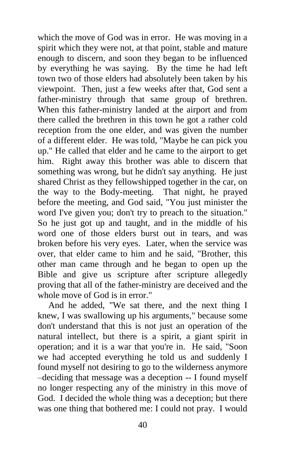which the move of God was in error. He was moving in a spirit which they were not, at that point, stable and mature enough to discern, and soon they began to be influenced by everything he was saying. By the time he had left town two of those elders had absolutely been taken by his viewpoint. Then, just a few weeks after that, God sent a father-ministry through that same group of brethren. When this father-ministry landed at the airport and from there called the brethren in this town he got a rather cold reception from the one elder, and was given the number of a different elder. He was told, "Maybe he can pick you up." He called that elder and he came to the airport to get him. Right away this brother was able to discern that something was wrong, but he didn't say anything. He just shared Christ as they fellowshipped together in the car, on the way to the Body-meeting. That night, he prayed before the meeting, and God said, "You just minister the word I've given you; don't try to preach to the situation." So he just got up and taught, and in the middle of his word one of those elders burst out in tears, and was broken before his very eyes. Later, when the service was over, that elder came to him and he said, "Brother, this other man came through and he began to open up the Bible and give us scripture after scripture allegedly proving that all of the father-ministry are deceived and the whole move of God is in error."

And he added, "We sat there, and the next thing I knew, I was swallowing up his arguments," because some don't understand that this is not just an operation of the natural intellect, but there is a spirit, a giant spirit in operation; and it is a war that you're in. He said, "Soon we had accepted everything he told us and suddenly I found myself not desiring to go to the wilderness anymore –deciding that message was a deception -- I found myself no longer respecting any of the ministry in this move of God. I decided the whole thing was a deception; but there was one thing that bothered me: I could not pray. I would